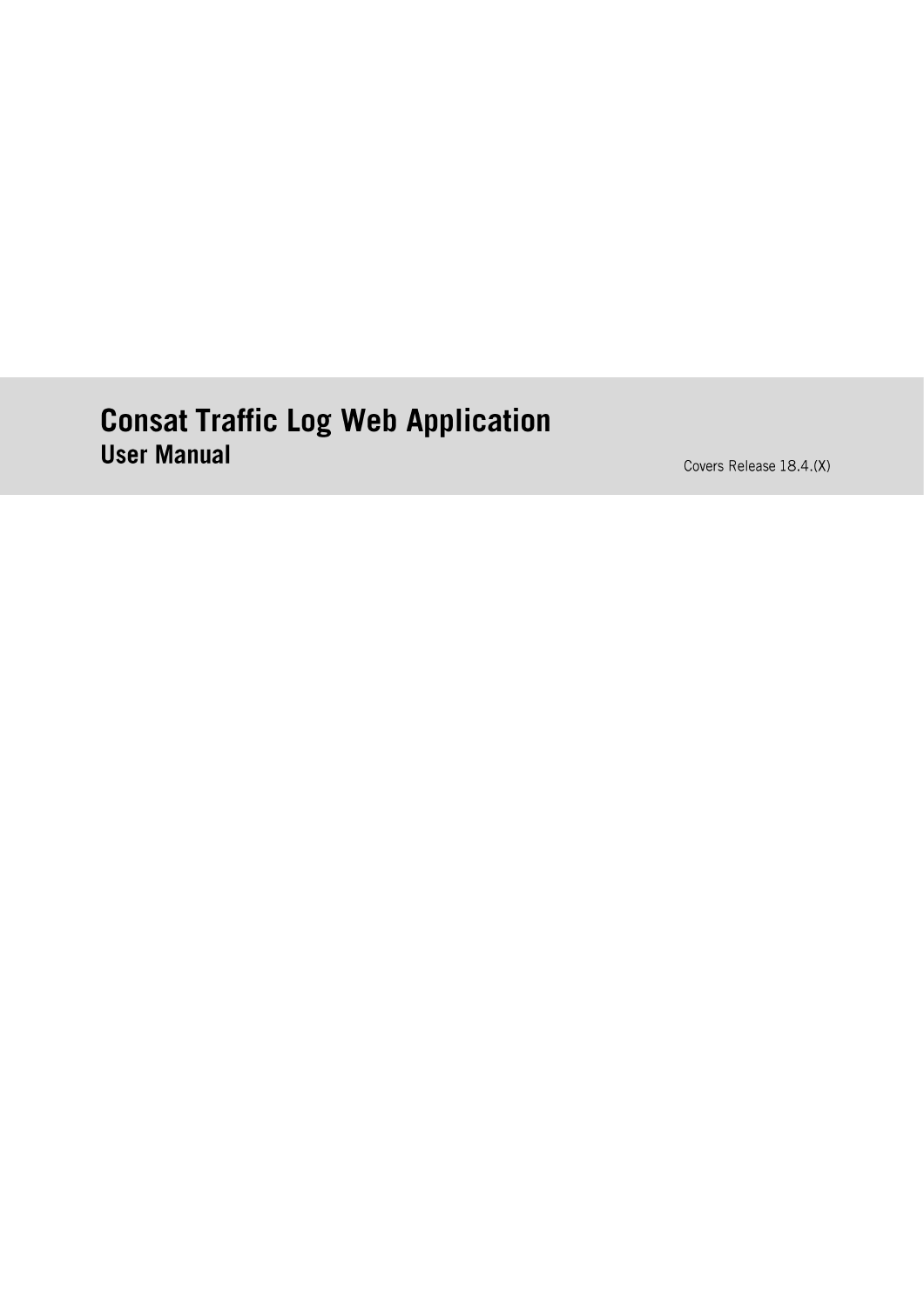# **Consat Traffic Log Web Application User Manual**

Covers Release 18.4.(X)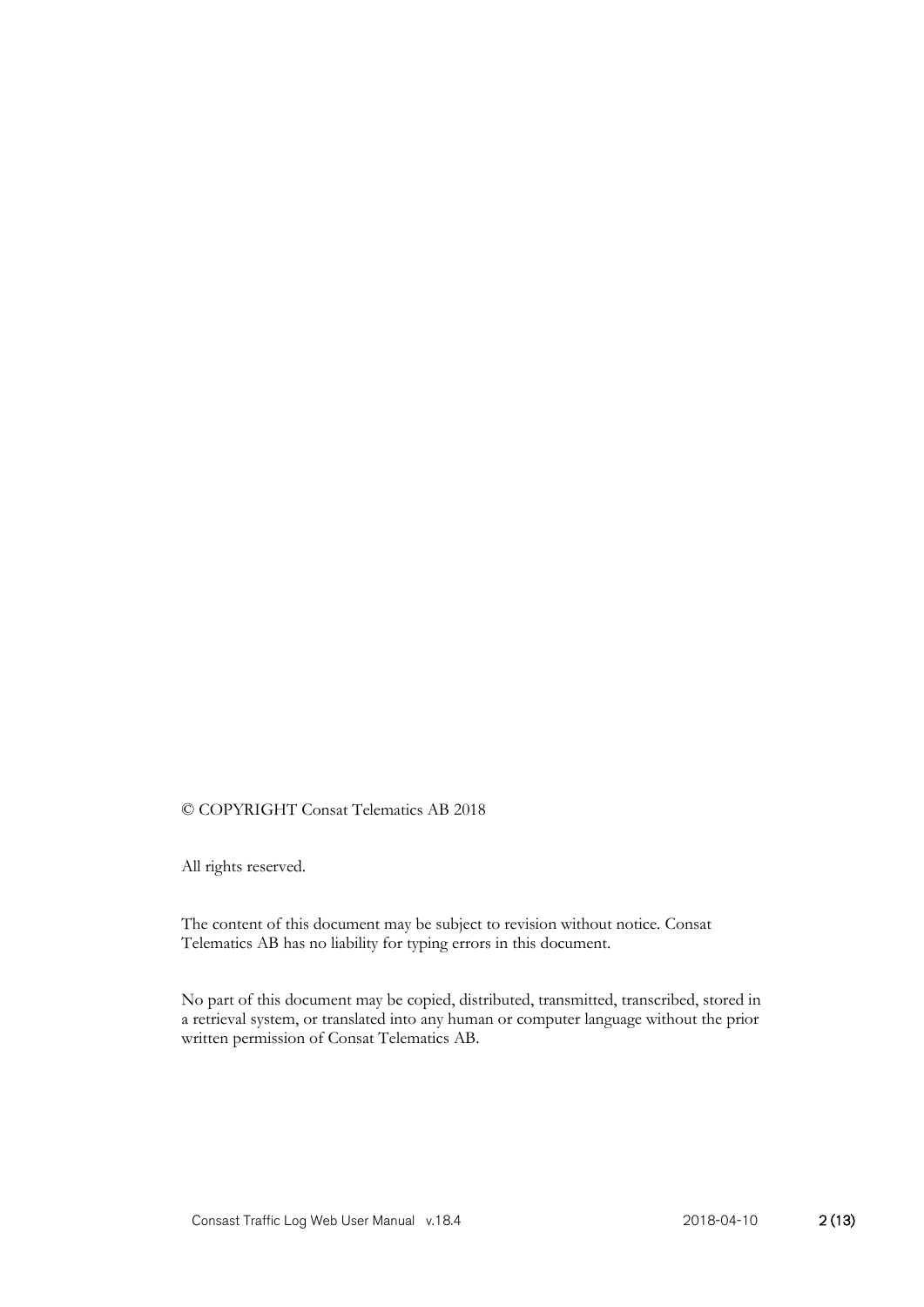#### © COPYRIGHT Consat Telematics AB 2018

All rights reserved.

The content of this document may be subject to revision without notice. Consat Telematics AB has no liability for typing errors in this document.

No part of this document may be copied, distributed, transmitted, transcribed, stored in a retrieval system, or translated into any human or computer language without the prior written permission of Consat Telematics AB.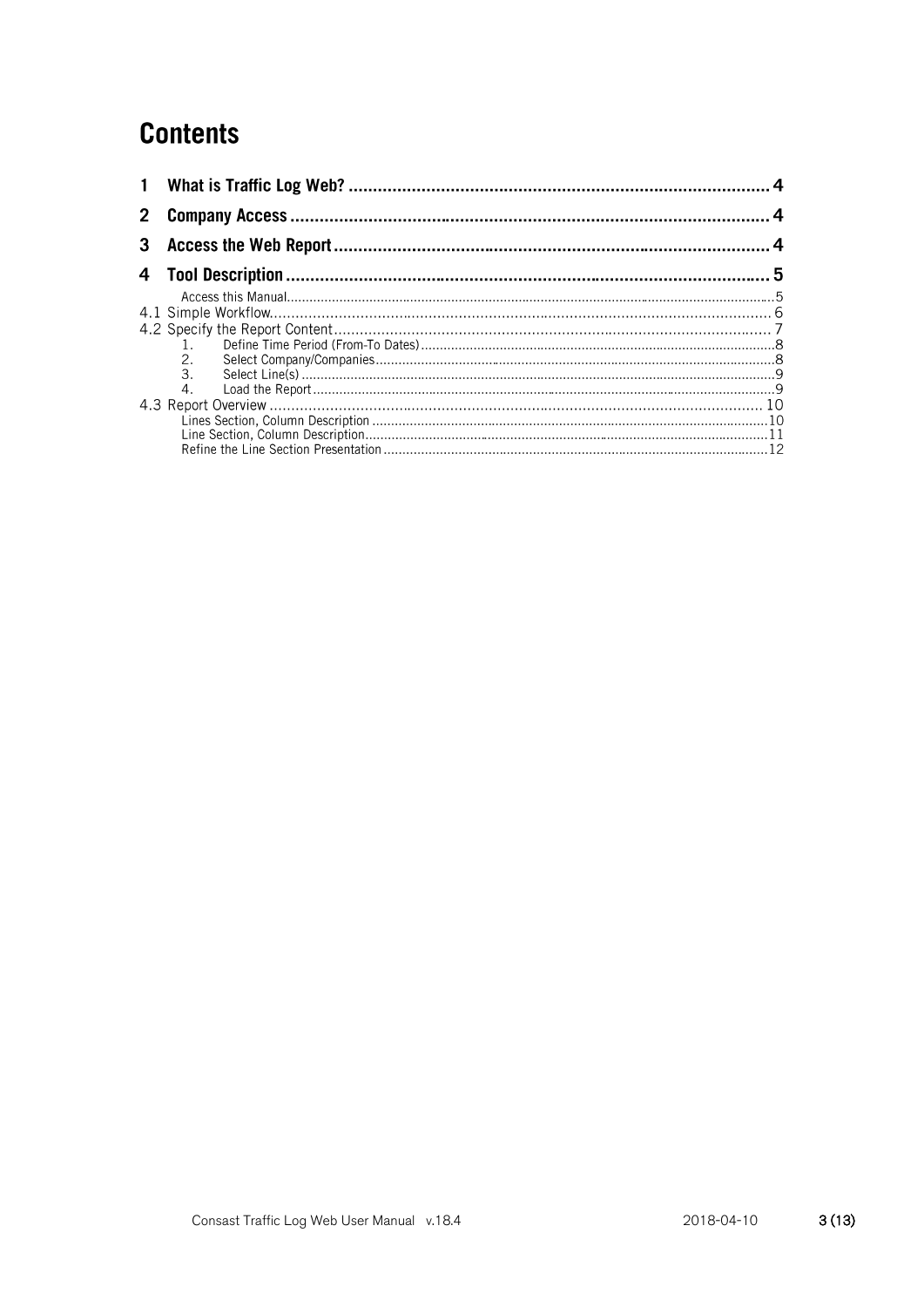# **Contents**

| $\mathbf{1}$ |   |  |
|--------------|---|--|
|              |   |  |
| 3            |   |  |
|              |   |  |
|              |   |  |
|              |   |  |
|              |   |  |
|              |   |  |
|              |   |  |
|              | 3 |  |
|              |   |  |
|              |   |  |
|              |   |  |
|              |   |  |
|              |   |  |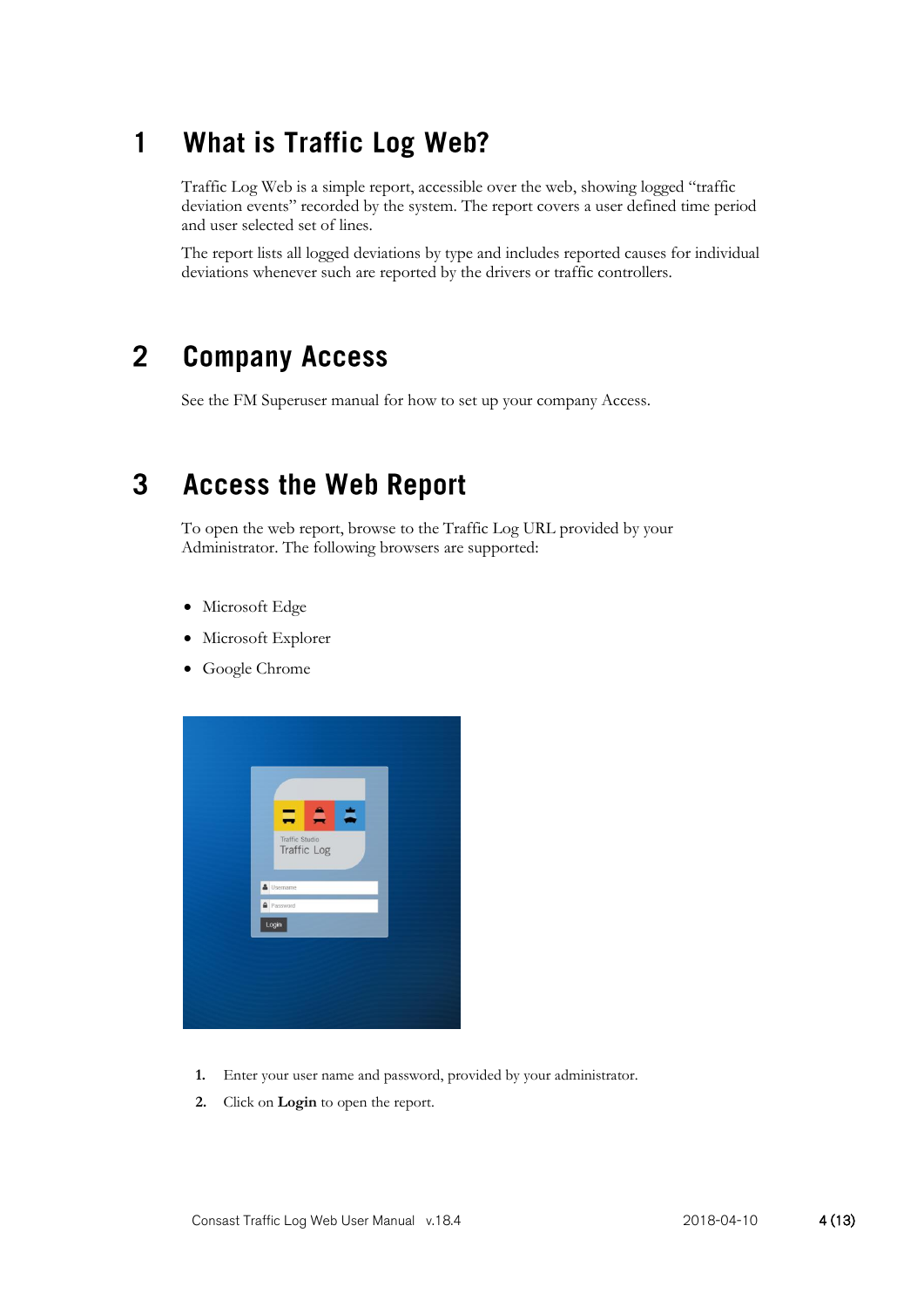#### **What is Traffic Log Web?**  $\blacksquare$

Traffic Log Web is a simple report, accessible over the web, showing logged "traffic deviation events" recorded by the system. The report covers a user defined time period and user selected set of lines.

The report lists all logged deviations by type and includes reported causes for individual deviations whenever such are reported by the drivers or traffic controllers.

#### $\overline{2}$ **Company Access**

See the FM Superuser manual for how to set up your company Access.

#### 3 **Access the Web Report**

To open the web report, browse to the Traffic Log URL provided by your Administrator. The following browsers are supported:

- Microsoft Edge
- Microsoft Explorer
- Google Chrome



- **1.** Enter your user name and password, provided by your administrator.
- **2.** Click on **Login** to open the report.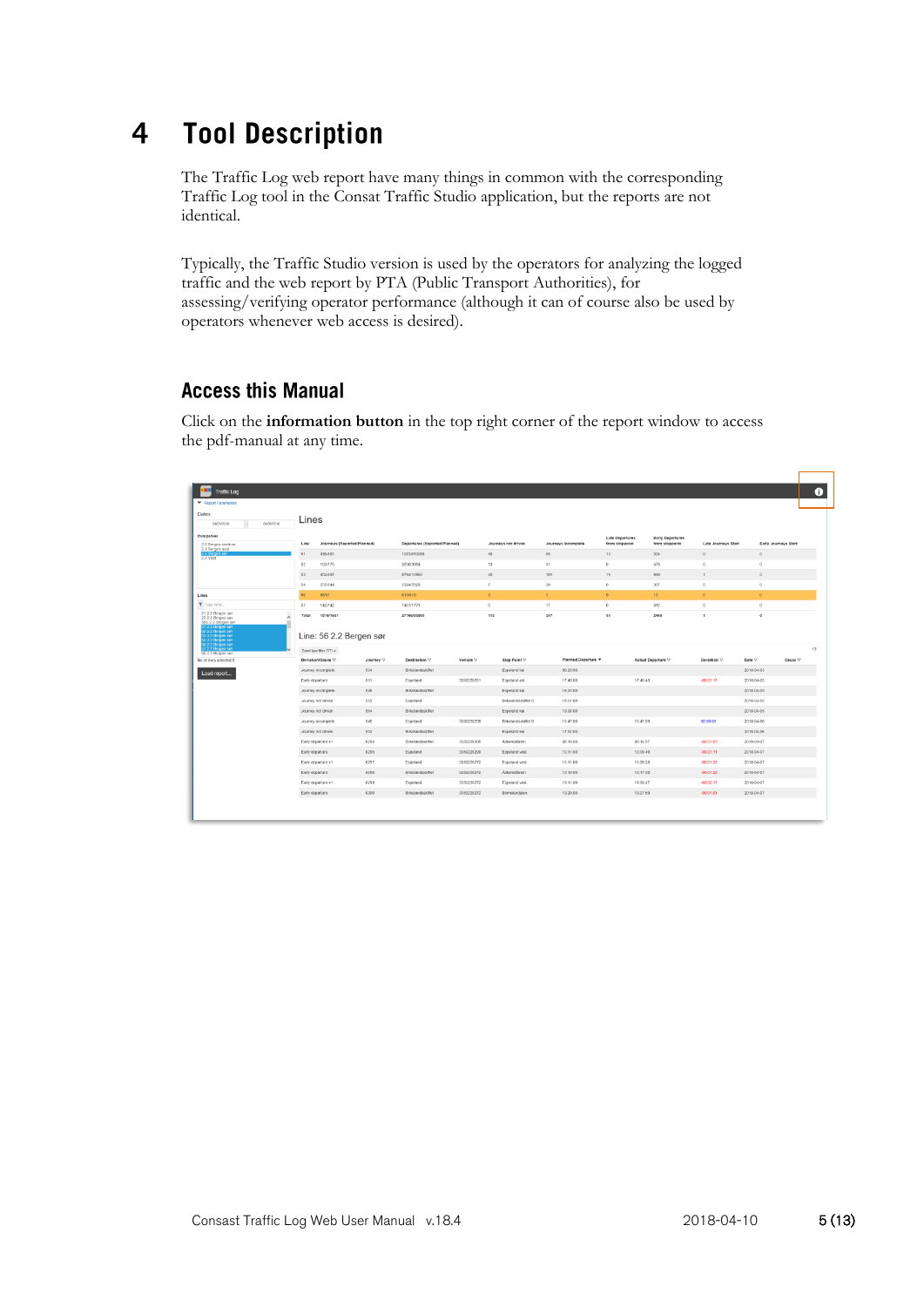#### **Tool Description**  $\overline{\mathbf{4}}$

The Traffic Log web report have many things in common with the corresponding Traffic Log tool in the Consat Traffic Studio application, but the reports are not identical.

Typically, the Traffic Studio version is used by the operators for analyzing the logged traffic and the web report by PTA (Public Transport Authorities), for assessing/verifying operator performance (although it can of course also be used by operators whenever web access is desired).

# **Access this Manual**

Click on the **information button** in the top right corner of the report window to access the pdf-manual at any time.

| <b>Traffic Log</b>                                                                                  |                 |                                      |           |                               |            |                            |              |                     |                        |                         |                     |                      |         | O  |
|-----------------------------------------------------------------------------------------------------|-----------------|--------------------------------------|-----------|-------------------------------|------------|----------------------------|--------------|---------------------|------------------------|-------------------------|---------------------|----------------------|---------|----|
| Report Parameters                                                                                   |                 |                                      |           |                               |            |                            |              |                     |                        |                         |                     |                      |         |    |
| Dates                                                                                               |                 |                                      |           |                               |            |                            |              |                     |                        |                         |                     |                      |         |    |
| 04/08/2018<br>04/01/2018                                                                            | Lines           |                                      |           |                               |            |                            |              |                     |                        |                         |                     |                      |         |    |
| Companies                                                                                           |                 |                                      |           |                               |            |                            |              |                     | <b>Late Departures</b> | <b>Early Departures</b> |                     |                      |         |    |
| 2.5 Bergen sentrum<br>2.4 Bergen nord                                                               | Line            | Journeys (Reported/Planned)          |           | Departures (Reported/Planned) |            | Journeys not driven        |              | Journeys Incomplete | from stoppoint         | from stoppoint          | Late Journeys Start | Early Journeys Start |         |    |
| 2.2 Bergen (<br>2.7 Vest                                                                            | 51              | 436/481                              |           | 10734/13058                   |            | 45                         | 65           |                     | 14                     | 304                     | O                   | $\circ$              |         |    |
|                                                                                                     | $^{52}$         | 163/176                              |           | 3250/3964                     |            | 13                         | 31           |                     | 0                      | 578                     |                     | Ü.                   |         |    |
|                                                                                                     | 53              | 452/497                              |           | 8794/10963                    |            | $45$                       | 101          |                     | 19                     | 949                     | $\mathbf{1}$        | $\circ$              |         |    |
|                                                                                                     | 54              | 237/244                              |           | 2324/2928                     |            | $\tau$                     | 20           |                     | $^{\circ}$             | SOT                     | $^{\circ}$          | $\circ$              |         |    |
| Lines                                                                                               | 56              | 88/91                                |           | 613/819                       |            | $\overline{\mathbf{3}}$    | $\mathbf{3}$ |                     | $\circ$                | 10 <sub>10</sub>        | $\circ$             | $\circ$              |         |    |
| Type here<br>21 2.2 Bergen sør                                                                      | 57              | 142/142                              |           | 1451/1771                     |            | $\circ$                    | 17           |                     | $\circ$                | 312                     | $\Omega$            | $\mathbb{O}$         |         |    |
| 22 2.2 Bergen sør<br>50E 2.2 Bergen sar<br>1 2.2 Bergen ser<br>2 2.2 Bergen sar<br>3 2.2 Bergen sar | Total           | 1518/1631<br>Line: 56 2.2 Bergen sør |           | 27166/33503                   |            | 113                        | 237          |                     | 33                     | 2460                    | $\mathbf{1}$        | $\circ$              |         |    |
| 4 2 2 Bergen sar<br>6 2.2 Bergen sør<br>2.2 Bergen sar<br>60 2.2 Bergen ser                         |                 | Event type filter (7/7) =            |           |                               |            |                            |              |                     |                        |                         |                     |                      |         | 13 |
| No of lines selected:6                                                                              |                 | Deviation/Cause V                    | Journey V | Destination V                 | Vehicle V  | Stop Point V               |              | Planned Departure V |                        | Actual Departure V      | Deviation $\nabla$  | Date V               | Cause V |    |
| Load report                                                                                         |                 | Journey incomplete                   | 534       | Birkelandsskiftet             |            | Espeland kai               |              | 06:20:00            |                        |                         |                     | 2018-04-03           |         |    |
|                                                                                                     | Early departure |                                      | 551       | Espeland                      | 3350228261 | Espeland øst               |              | 17:48:00            | 17:46:43               |                         | $-00.01:17$         | 2018-04-03           |         |    |
|                                                                                                     |                 | Journey incomplete                   | 548       | Birkelandsskiftet             |            | Espeland kai               |              | 16:23:00            |                        |                         |                     | 2018-04-05           |         |    |
|                                                                                                     |                 | Journey not driven                   | 553       | Espeland                      |            | Birkelandsskiftet B        |              | 18 51:00            |                        |                         |                     | 2018-04-05           |         |    |
|                                                                                                     |                 | Journey not driven                   | 554       | Birkelandsskiftet             |            | Espeland kai               |              | 19.08.00            |                        |                         |                     | 2018-04-05           |         |    |
|                                                                                                     |                 | Journey incomplete                   | 545       | Espeland                      | 3350228298 | <b>Birkelandsskiftet B</b> |              | 15:47:00            | 15:47:59               |                         | 00:00:59            | 2018-04-06           |         |    |
|                                                                                                     |                 | Journey not driven                   | 552       | <b>Birkelandsskiftet</b>      |            | Espeland kal               |              | 17:52:00            |                        |                         |                     | 2018-04-06           |         |    |
|                                                                                                     |                 | Early departure +1                   | 6294      | Birkelandsskiftet             | 3350228306 | Adlandsflaten              |              | 08:18:00            | 08:16:57               |                         | $-00.01:03$         | 2018-04-07           |         |    |
|                                                                                                     | Early departure |                                      | 6295      | Espeland                      | 3350228299 | Espeland vest              |              | 10:11:00            | 10.09.49               |                         | $-00.01:11$         | 2018-04-07           |         |    |
|                                                                                                     |                 | Early departure +1                   | 6297      | Espeland                      | 3350228272 | Espeland vest              |              | 15:11:00            | 15.09.28               |                         | $-00.01:32$         | 2018-04-07           |         |    |
|                                                                                                     | Early departure |                                      | 6298      | Birkelandsskiftet             | 3350228272 | Adlandsflaten              |              | 15:19:00            | 15:17:38               |                         | $-00.01:22$         | 2018-04-07           |         |    |
|                                                                                                     |                 | Early departure +1                   | 6299      | Espeiand                      | 3350228272 | Espeland vest              |              | 19:11:00            | 19.08:47               |                         | $-00.02:13$         | 2018-04-07           |         |    |
|                                                                                                     | Early departure |                                      | 6300      | Birkelandsskiftet             | 3350228272 | <b>Ellomstendalen</b>      |              | 19.29:00            | 19.27.59               |                         | $-00.01;01$         | 2018-04-07           |         |    |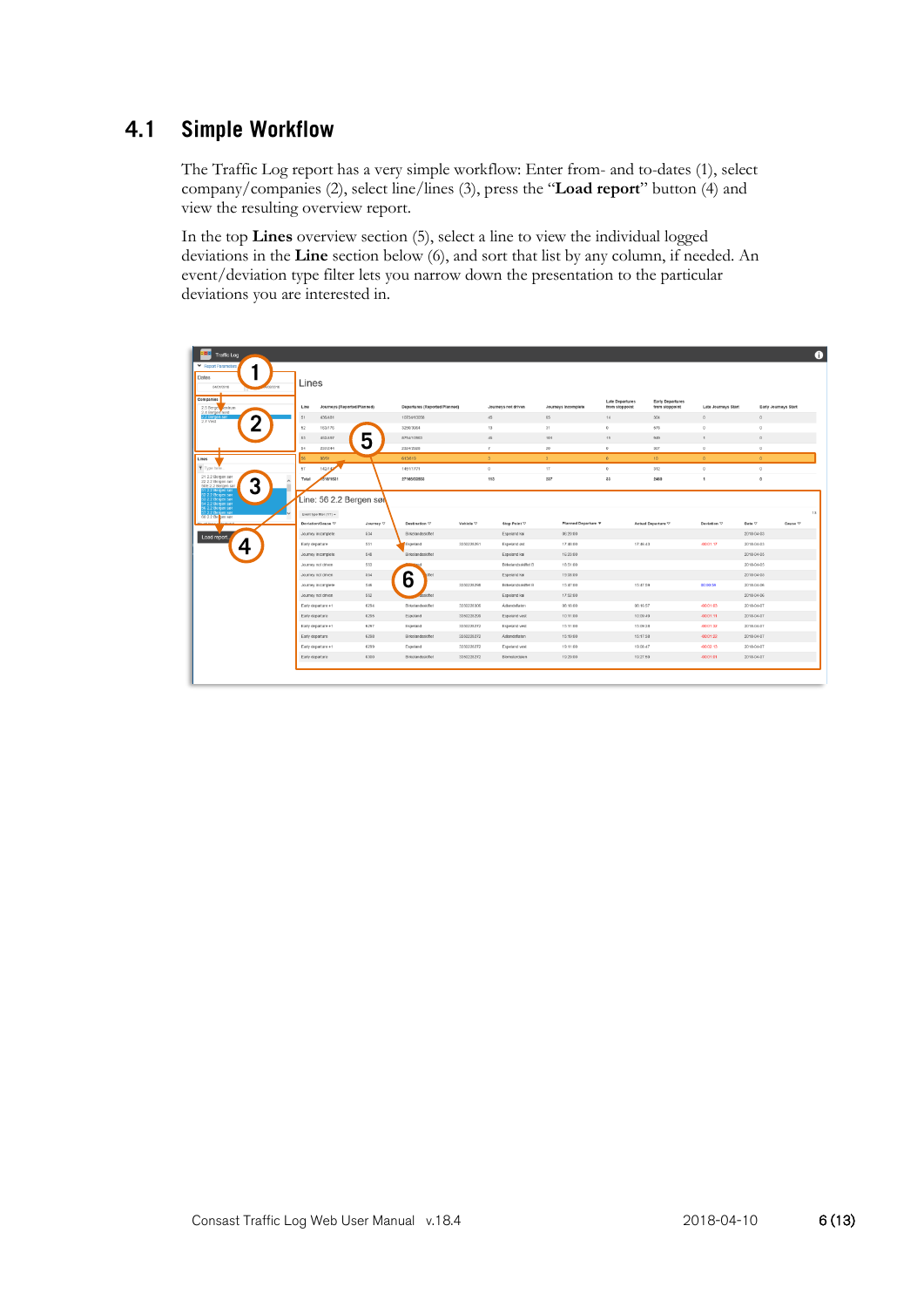#### $4.1$ **Simple Workflow**

The Traffic Log report has a very simple workflow: Enter from- and to-dates (1), select company/companies (2), select line/lines (3), press the "**Load report**" button (4) and view the resulting overview report.

In the top **Lines** overview section (5), select a line to view the individual logged deviations in the **Line** section below (6), and sort that list by any column, if needed. An event/deviation type filter lets you narrow down the presentation to the particular deviations you are interested in.

| 田<br><b>Traffic Log</b><br>▼ Report Parameters.                                                  |                                     |                  |                               |            |                      |                     |                                          |                                           |                     |                      | $\bullet$ |
|--------------------------------------------------------------------------------------------------|-------------------------------------|------------------|-------------------------------|------------|----------------------|---------------------|------------------------------------------|-------------------------------------------|---------------------|----------------------|-----------|
| <b>Dates</b><br>04/01/2018<br>0002018                                                            | Lines                               |                  |                               |            |                      |                     |                                          |                                           |                     |                      |           |
| Companies<br>2.5 Berger Aentrum                                                                  | Journeys (Reported/Planned)<br>Line |                  | Departures (Reported/Planned) |            | Journeys not driven  | Journeys Incomplete | <b>Late Departures</b><br>from stoppoint | <b>Early Departures</b><br>from stoppoint | Late Journeys Start | Early Journeys Start |           |
| 2 Bot<br>◠                                                                                       | 51<br>436/481                       |                  | 10734/13058                   |            | 45                   | 65                  | $14\,$                                   | 304                                       | $\circ$             | $\circ$              |           |
| 2.7 Vest                                                                                         | 52<br>163/176                       |                  | 3250/3954                     |            | 13                   | 31                  | O                                        | 578                                       | $\circ$             | $\circ$              |           |
|                                                                                                  | 53<br>452/497                       | 5                | 8794/10963                    |            | 45                   | 101                 | 19                                       | 949                                       | 1                   | $\circ$              |           |
|                                                                                                  | 54<br>237/244                       |                  | 2324/2928                     |            | $\tau$               | 20                  | $^{\circ}$                               | SOT                                       | $^{\circ}$          | $\circ$              |           |
| Lines                                                                                            | 56<br>88/91                         |                  | 613/819                       |            | $\mathfrak{A}$       | $\mathbf{A}$        | $\circ$                                  | 10 <sub>10</sub>                          | $\circ$             | $\circ$              |           |
| Type here.                                                                                       | 57<br>142/142                       |                  | 1451/1771                     |            | $\circ$              | 17                  | $\circ$                                  | 312                                       | $\circ$             | $\circ$              |           |
| 21 2.2 Bergen sør<br>3<br>22 2.2 Bergen sar<br>50E 2.2 Bergen sar                                | 1518/1631<br>Total                  |                  | 27166/33503                   |            | 113                  | 237                 | 33                                       | 2460                                      | $\mathbf{I}$        | $\circ$              |           |
| i1 2.2 Bergen sør<br>2.2.2 Bergen sør<br>is 2.2 Bergen say<br>14 2.2 Bergen say<br>16 2.2 Bergen | Line: 56 2.2 Bergen søl             |                  |                               |            |                      |                     |                                          |                                           |                     |                      |           |
| 2.2 Bergen say<br>60 2.2 Be hen sør                                                              | Event type filter $(7/7)$ $\sim$    |                  |                               |            |                      |                     |                                          |                                           |                     |                      | 13        |
| <b>Mount lines is declect 0</b>                                                                  | Deviation/Cause V                   | Journey $\nabla$ | Destination V                 | Vehicle V  | <b>Stop Point V</b>  | Planned Departure V |                                          | Actual Departure V                        | Deviation $\nabla$  | Date V               | Cause V   |
| Load report.                                                                                     | Journey incomplete                  | 534              | Birkelandsskiftet             |            | Espeland kai         | 06:20:00            |                                          |                                           |                     | 2018-04-03           |           |
| 4                                                                                                | Early departure                     | 551              | Espeland                      | 3350228261 | Espeland ast         | 17:48:00            | 17:46:43                                 |                                           | $-00.01:17$         | 2018-04-03           |           |
|                                                                                                  | Journey incomplete                  | 548              | Birkelandsskiffet             |            | Espeland kal         | 16:23:00            |                                          |                                           |                     | 2018-04-05           |           |
|                                                                                                  | Journey not driven                  | 553              |                               |            | Eirkelandsskiftet B  | 18.51:00            |                                          |                                           |                     | 2018-04-05           |           |
|                                                                                                  | Journey not driven                  | 554              | 6                             |            | Espeland kai         | 19.08:00            |                                          |                                           |                     | 2018-04-05           |           |
|                                                                                                  | Journey incomplete                  | 545              |                               | 3350228298 | Birkelandsskiftet B  | 15:47:00            | 15:47:59                                 |                                           | 00:00:59            | 2018-04-06           |           |
|                                                                                                  | Journey not driven                  | 552              | sskiftet                      |            | Espeland kal         | 17:52:00            |                                          |                                           |                     | 2018-04-06           |           |
|                                                                                                  | Early departure +1                  | 6294             | Birkelandsskiftet             | 3350228306 | Adlandsflaten        | 08:18:00            | 08:16:57                                 |                                           | $-00.01:03$         | 2018-04-07           |           |
|                                                                                                  | Early departure                     | 6295             | Espeland                      | 3350228299 | Espeland vest        | 10:11:00            | 10.09.49                                 |                                           | $-00.01:11$         | 2018-04-07           |           |
|                                                                                                  | Early departure +1                  | 6297             | Espeland                      | 3350228272 | Espeland vest        | 15:11:00            | 15.09.28                                 |                                           | $-00.01:32$         | 2018-04-07           |           |
|                                                                                                  | Early departure                     | 6298             | Birkelandsskiftet             | 3350228272 | Adlandsflaten        | 15:19:00            | 15:17:38                                 |                                           | $-00.01:22$         | 2018-04-07           |           |
|                                                                                                  | Early departure +1                  | 6299             | Espeland                      | 3350228272 | Espeland vest        | 19:11:00            | 19.08:47                                 |                                           | $-00.02:13$         | 2018-04-07           |           |
|                                                                                                  | Early departure                     | 6300             | Birkelandsskiftet             | 3350228272 | <b>Elomsterdalen</b> | 19.29:00            | 19:27:59                                 |                                           | $-00.01:01$         | 2018-04-07           |           |
|                                                                                                  |                                     |                  |                               |            |                      |                     |                                          |                                           |                     |                      |           |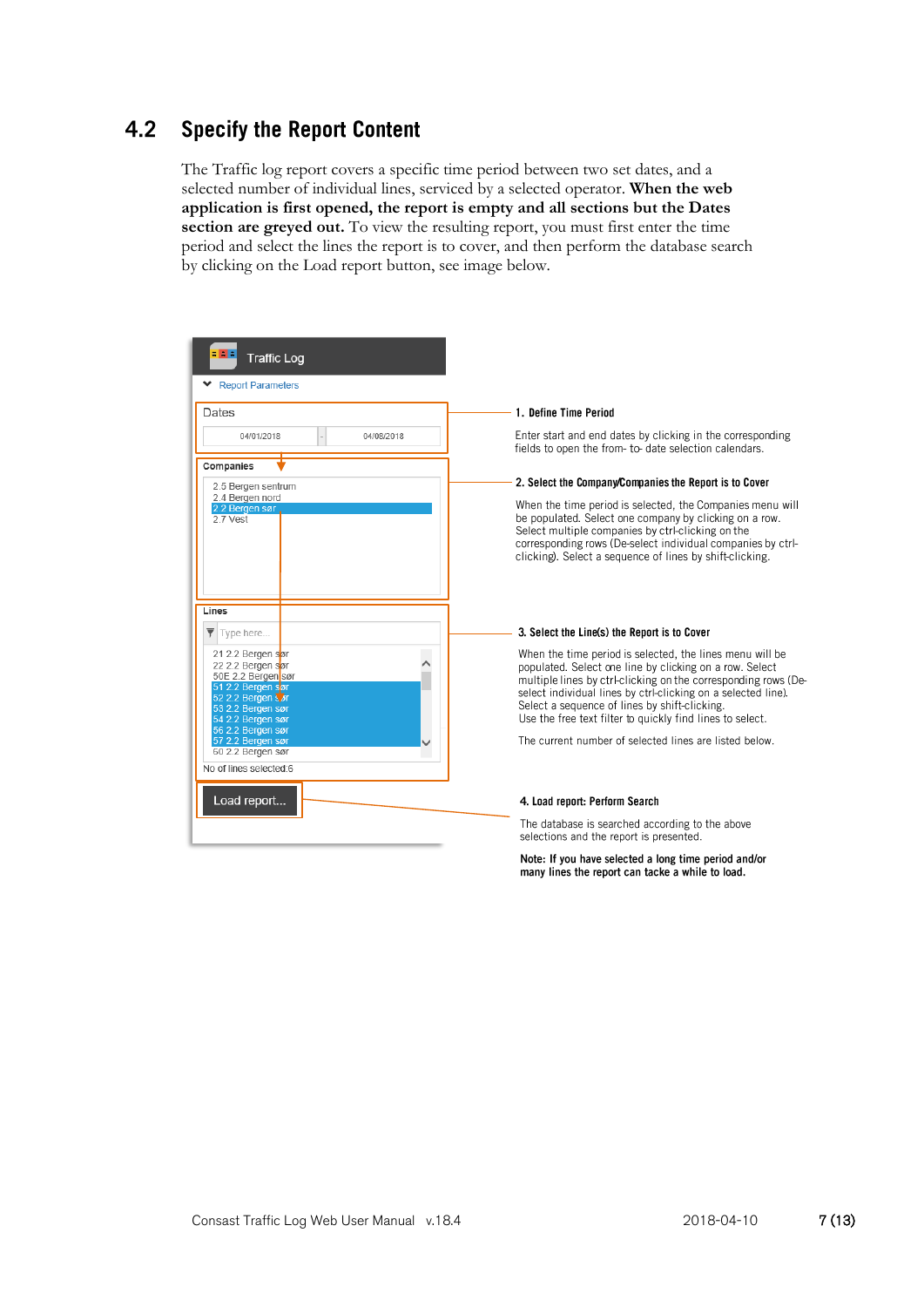#### **Specify the Report Content**  $4.2$

The Traffic log report covers a specific time period between two set dates, and a selected number of individual lines, serviced by a selected operator. **When the web application is first opened, the report is empty and all sections but the Dates section are greyed out.** To view the resulting report, you must first enter the time period and select the lines the report is to cover, and then perform the database search by clicking on the Load report button, see image below.

| : 8 :                                                                                                                                             |                                                                                                                                                                                                                                                                                                                                                                      |
|---------------------------------------------------------------------------------------------------------------------------------------------------|----------------------------------------------------------------------------------------------------------------------------------------------------------------------------------------------------------------------------------------------------------------------------------------------------------------------------------------------------------------------|
| <b>Traffic Log</b><br><b>Report Parameters</b>                                                                                                    |                                                                                                                                                                                                                                                                                                                                                                      |
| Dates                                                                                                                                             | 1. Define Time Period                                                                                                                                                                                                                                                                                                                                                |
| 04/01/2018<br>04/08/2018                                                                                                                          | Enter start and end dates by clicking in the corresponding<br>fields to open the from-to-date selection calendars.                                                                                                                                                                                                                                                   |
| Companies                                                                                                                                         | 2. Select the Company/Companies the Report is to Cover                                                                                                                                                                                                                                                                                                               |
| 2.5 Bergen sentrum<br>2.4 Bergen nord                                                                                                             |                                                                                                                                                                                                                                                                                                                                                                      |
| 2.2 Bergen sør<br>27 Vest                                                                                                                         | When the time period is selected, the Companies menu will<br>be populated. Select one company by clicking on a row.<br>Select multiple companies by ctrl-clicking on the<br>corresponding rows (De-select individual companies by ctrl-<br>clicking). Select a sequence of lines by shift-clicking.                                                                  |
| Lines                                                                                                                                             |                                                                                                                                                                                                                                                                                                                                                                      |
| $\overline{\mathbf{Y}}$ Type here                                                                                                                 | 3. Select the Line(s) the Report is to Cover                                                                                                                                                                                                                                                                                                                         |
| 21 2.2 Bergen sør<br>22 2.2 Bergen sør<br>50E 2.2 Bergen sør<br>51 2.2 Bergen sør<br>52 2.2 Bergen S or<br>53 2.2 Bergen sør<br>54 2.2 Bergen sør | When the time period is selected, the lines menu will be<br>populated. Select one line by clicking on a row. Select<br>multiple lines by ctrl-clicking on the corresponding rows (De-<br>select individual lines by ctrl-clicking on a selected line).<br>Select a sequence of lines by shift-clicking.<br>Use the free text filter to quickly find lines to select. |
| 56 2.2 Bergen sør<br>57 2.2 Bergen sør<br>60 2.2 Bergen sør                                                                                       | The current number of selected lines are listed below.                                                                                                                                                                                                                                                                                                               |
| No of lines selected:6                                                                                                                            |                                                                                                                                                                                                                                                                                                                                                                      |
| Load report                                                                                                                                       | 4. Load report: Perform Search                                                                                                                                                                                                                                                                                                                                       |
|                                                                                                                                                   | The database is searched according to the above<br>selections and the report is presented.                                                                                                                                                                                                                                                                           |
|                                                                                                                                                   | Note: If you have selected a long time period and/or                                                                                                                                                                                                                                                                                                                 |

many lines the report can tacke a while to load.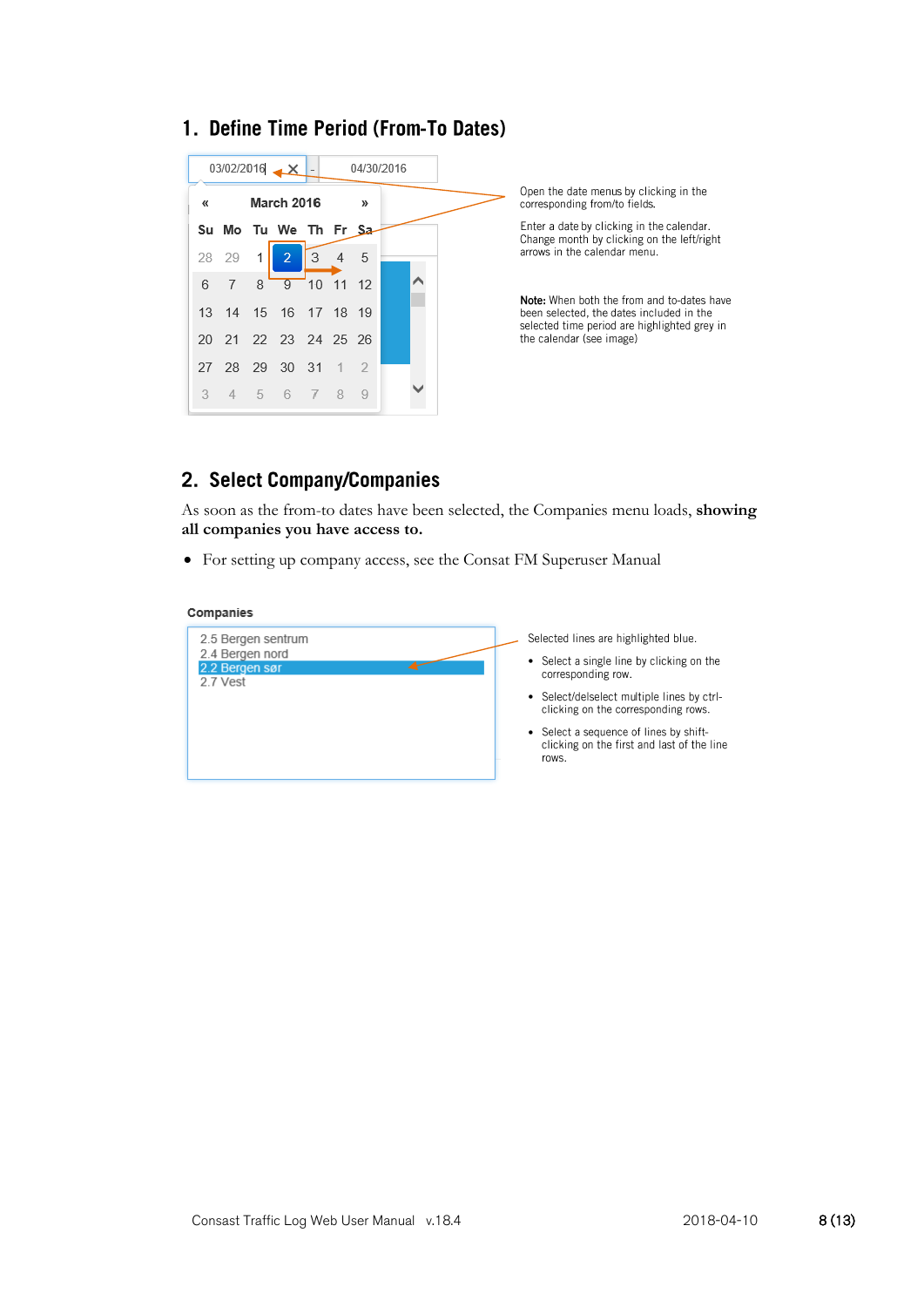### 1. Define Time Period (From-To Dates)



Open the date menus by clicking in the corresponding from/to fields.

Enter a date by clicking in the calendar. Change month by clicking on the left/right arrows in the calendar menu.

Note: When both the from and to-dates have been selected, the dates included in the selected time period are highlighted grey in the calendar (see image)

# 2. Select Company/Companies

As soon as the from-to dates have been selected, the Companies menu loads, **showing all companies you have access to.**

• For setting up company access, see the Consat FM Superuser Manual

#### Companies

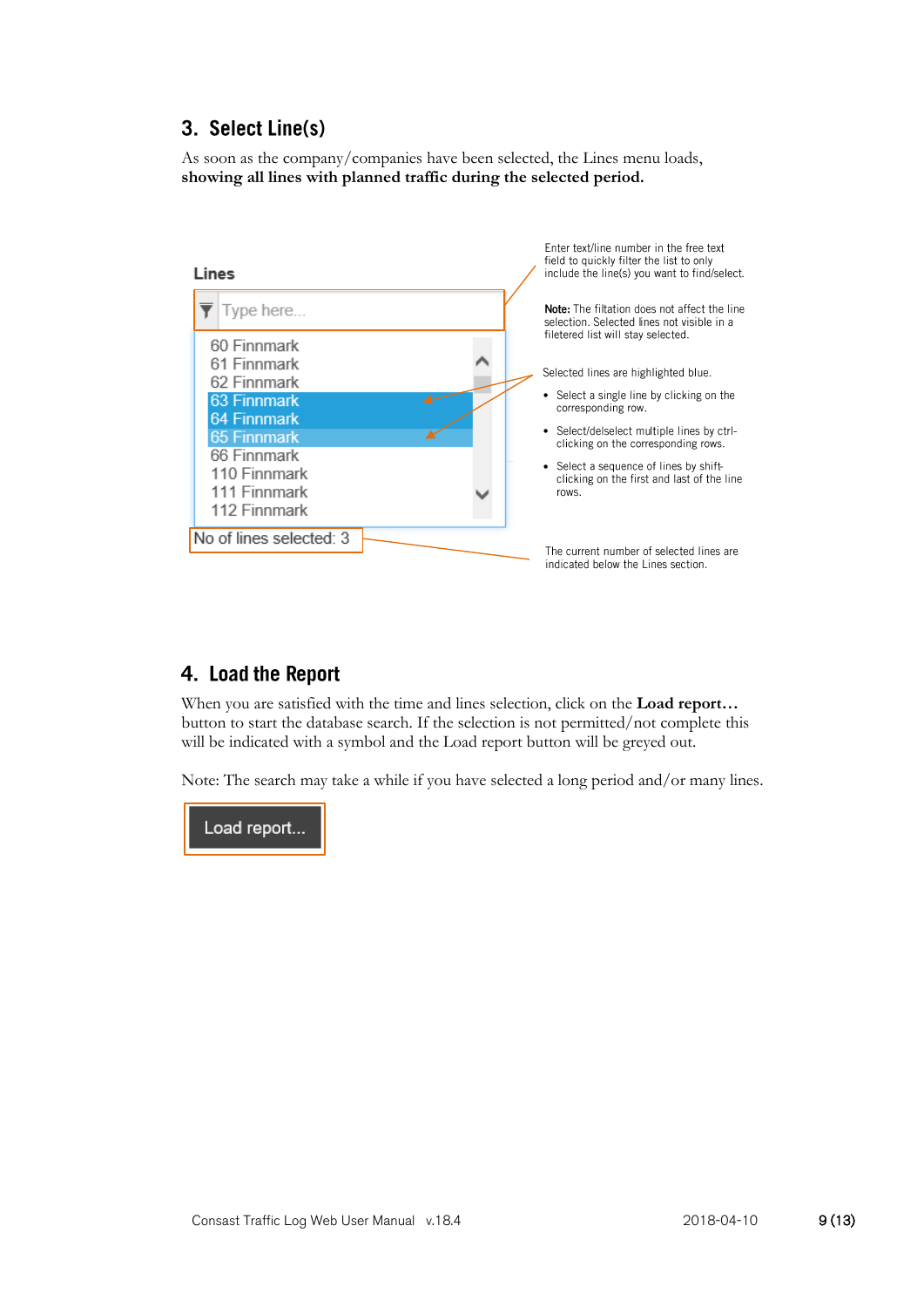# 3. Select Line(s)

As soon as the company/companies have been selected, the Lines menu loads, **showing all lines with planned traffic during the selected period.**



# 4. Load the Report

When you are satisfied with the time and lines selection, click on the **Load report…** button to start the database search. If the selection is not permitted/not complete this will be indicated with a symbol and the Load report button will be greyed out.

Note: The search may take a while if you have selected a long period and/or many lines.

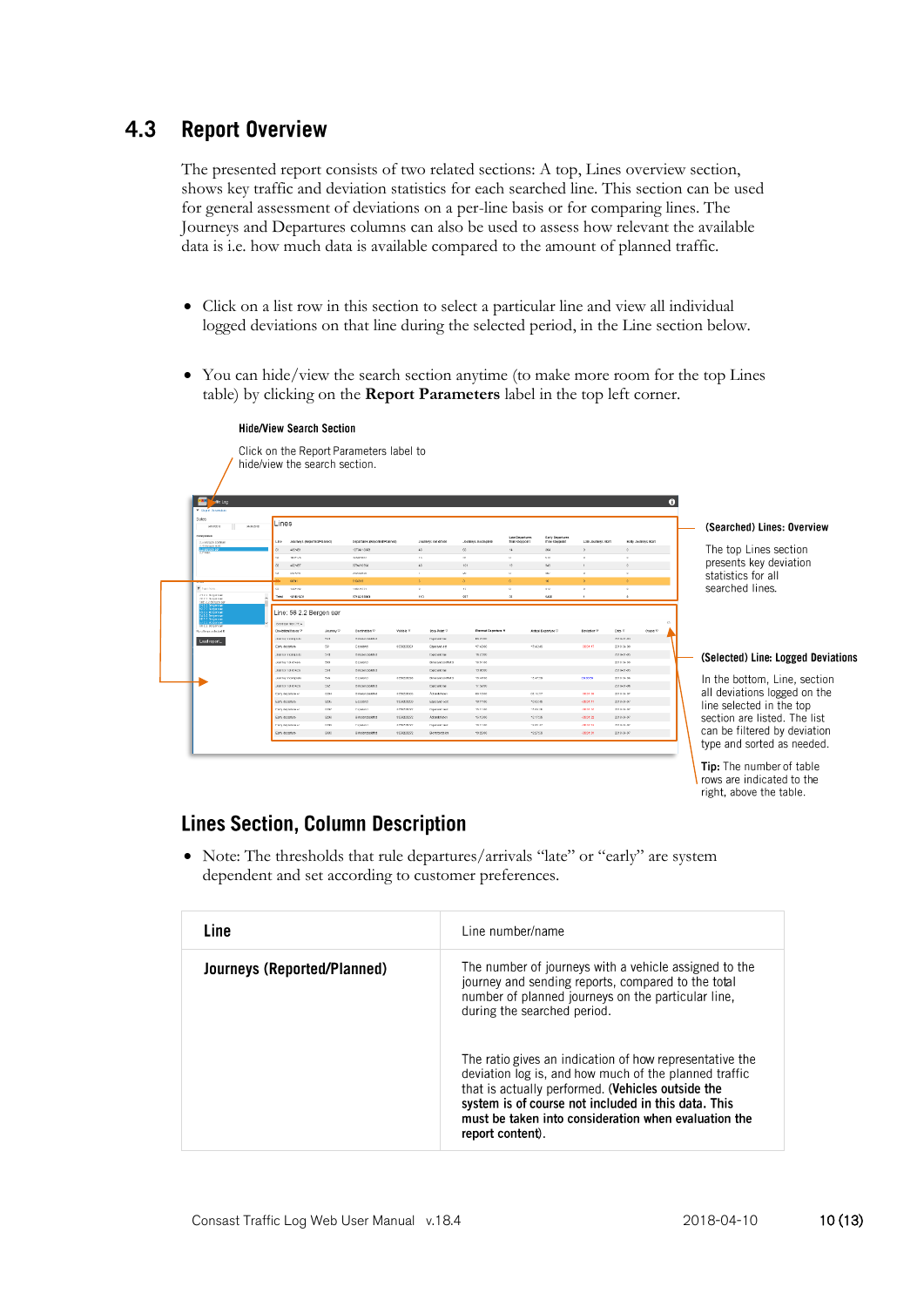#### $4.3$ **Report Overview**

The presented report consists of two related sections: A top, Lines overview section, shows key traffic and deviation statistics for each searched line. This section can be used for general assessment of deviations on a per-line basis or for comparing lines. The Journeys and Departures columns can also be used to assess how relevant the available data is i.e. how much data is available compared to the amount of planned traffic.

- Click on a list row in this section to select a particular line and view all individual logged deviations on that line during the selected period, in the Line section below.
- You can hide/view the search section anytime (to make more room for the top Lines table) by clicking on the **Report Parameters** label in the top left corner.

|                                                                                                                                  |                                                         | Click on the Report Parameters label to<br>hide/view the search section. |                                              |            |                                           |                                     |                                   |                                    |                          |                          |                     |           |                                    |
|----------------------------------------------------------------------------------------------------------------------------------|---------------------------------------------------------|--------------------------------------------------------------------------|----------------------------------------------|------------|-------------------------------------------|-------------------------------------|-----------------------------------|------------------------------------|--------------------------|--------------------------|---------------------|-----------|------------------------------------|
| ×,<br>offici Log                                                                                                                 |                                                         |                                                                          |                                              |            |                                           |                                     |                                   |                                    |                          |                          |                     | $\bullet$ |                                    |
| <b>M. Regard Patronology</b><br>Dates<br>1610213<br>Companies                                                                    | Lines<br>0000008                                        |                                                                          |                                              |            |                                           |                                     |                                   |                                    |                          |                          |                     |           | (Searched) Lines: Overview         |
| 2.5 BONCH SCHOUT<br>7.4 ISS/GCB FAINT                                                                                            | Line                                                    | Journeys (Reported Planned)                                              | Departures (Reported/Hanned)                 |            | Journeys not driver                       | Journeys Incomplete                 | Late Departures<br>from stoppeint | Early Departures<br>from staggoint | Late Journeys Bort       |                          | Early Journeys Bart |           |                                    |
| 2.2 Doroch                                                                                                                       | 435451                                                  |                                                                          | 1073410000                                   |            | 45                                        | 65                                  | 14                                | 804                                | $\Delta$                 |                          |                     |           | The top Lines section              |
|                                                                                                                                  | 952/1/5<br>NA <sup>1</sup>                              |                                                                          | 220400907                                    |            | $^{12}$                                   | 11                                  | $\mathbf{c}$                      | bit                                | $\mathbf{D}$             | $\alpha$                 |                     |           | presents key deviation             |
|                                                                                                                                  | 452457<br>83                                            |                                                                          | 876410960                                    |            | 45                                        | 101                                 | 16                                | 625                                | $\mathbf{f}$             | $\circ$                  |                     |           |                                    |
|                                                                                                                                  | 21/244<br>$^{54}$<br><b>DANK</b>                        |                                                                          | 233/4/2123<br>015/019                        |            | $\mathbb{R}$<br>$\sim$                    | 20<br>$\alpha$                      | $\alpha$<br>$\sigma$              | 50<br>10                           | $\mathbf{D}$<br>$\Delta$ | $\circ$<br>$\Delta$      |                     |           | statistics for all                 |
| T type term                                                                                                                      | 142142<br>oz.                                           |                                                                          | 145/1771                                     |            |                                           | 17                                  | $\mathbf{c}$                      | 312                                | $\circ$                  | $\circ$                  |                     |           | searched lines.                    |
| 212.2 Notice set<br>32.2.3 Notpasser                                                                                             | Total                                                   | 1010/1021                                                                | 2716013203                                   |            | 113                                       | 037                                 | 22                                | 2460                               |                          | $\bullet$                |                     |           |                                    |
| su magonier<br>23 Dergeneer<br>23 Dergeneer<br>23 Barjonser<br><b>SINGLE DE CEN SAY</b><br>No of Imagine hotel to<br>Load report | ENVIRONMENTOS<br>Deviation/Cause 12<br>Annoy regressive | Line: 56 2.2 Bergen sør<br>Journey <sup>12</sup><br>554                  | Destination <sup>12</sup><br>Heksbeschoktike | Vehicle 12 | Stop Point V<br><b>Engelseed for</b>      | <b>Planned Departure</b><br>0620.00 |                                   | Actual Departure 17                | Deviation %              | Date V<br>2018-01-03     | Cause V             | C.        |                                    |
|                                                                                                                                  | Early departure                                         | 551                                                                      | Estekand                                     | 3350225261 | Esperand ast                              | 17.48.00                            |                                   | 12:45:43                           | 000117                   | 2018 04:00               |                     |           |                                    |
|                                                                                                                                  | диатог полці ді                                         | <b>Mid</b>                                                               | <b>Mekstersbokillo</b>                       |            | <b>Engelsed for</b>                       | 162100                              |                                   |                                    |                          | 2018-01-06               |                     |           | (Selected) Line: Logged Deviations |
|                                                                                                                                  | Journey not driven                                      | 553                                                                      | Estekend                                     |            | Elise and social                          | 18:51.00                            |                                   |                                    |                          | 2018 04:05               |                     |           |                                    |
|                                                                                                                                  | Journey not driven<br>Journey incomplete                | $10-1$<br>546                                                            | <b>BRIDGERS</b><br><b>Dependent</b>          | 3350225251 | <b>Esperant has</b><br>First and cochet F | 12,000<br>124700                    |                                   | 12:27:59                           | 0309.59                  | 2018-01-06<br>2010/04/06 |                     |           |                                    |
|                                                                                                                                  | JOSEBEN FOR GENERA                                      | $202 -$                                                                  | <b>BIRDSHOSSKICH</b>                         |            | Esperant has                              | 17,57,00                            |                                   |                                    |                          | 2018-04-06               |                     |           | In the bottom, Line, section       |
|                                                                                                                                  | Daty department                                         | 4284                                                                     | <b>Britekenholdier</b>                       | 3350225307 | Attentioner                               | 001800                              |                                   | 03:55:57                           | 00:01:00                 | 2010/04/07               |                     |           | all deviations logged on the       |
|                                                                                                                                  | Early objecture                                         | 6295                                                                     | Escoard                                      | 3350225233 | Esperand octo                             | 10.11.00                            |                                   | 1000309                            | 40001311                 | 2018-04-07               |                     |           |                                    |
|                                                                                                                                  | Easy department                                         | zooy                                                                     | Penahand                                     | 3350736973 | <b>Exprised test</b>                      | 1511.00                             |                                   | 15:09:20                           | 400102                   | 2010/04/07               |                     |           | line selected in the top           |
|                                                                                                                                  | Early departure                                         | <b>ADRK</b>                                                              | <b>RISTORIOUS</b>                            | 8350225272 | Adandation                                | 19.19.00                            |                                   | 15:17:58                           | -200122                  | 2268-04-07               |                     |           | section are listed. The list       |
|                                                                                                                                  | <b>Dely deputation</b>                                  | 2001                                                                     | Penaharat                                    | 335071697  | <b>Constructions</b>                      | 1811.00                             |                                   | 19.05.07                           | 2010/05/05               | 2010-04-07               |                     |           |                                    |
|                                                                                                                                  | Early decorture                                         | 6900                                                                     | Birkosandsskatch                             | 0300225272 | Ekomsterdalen                             | 19:29:00                            |                                   | 15:27:59                           | 400101                   | 2018-04-07               |                     |           | can be filtered by deviation       |
|                                                                                                                                  |                                                         |                                                                          |                                              |            |                                           |                                     |                                   |                                    |                          |                          |                     |           | type and sorted as needed.         |

Tip: The number of table rows are indicated to the right, above the table.

# **Lines Section, Column Description**

• Note: The thresholds that rule departures/arrivals "late" or "early" are system dependent and set according to customer preferences.

| Line                        | Line number/name                                                                                                                                                                                                                                                                                         |
|-----------------------------|----------------------------------------------------------------------------------------------------------------------------------------------------------------------------------------------------------------------------------------------------------------------------------------------------------|
| Journeys (Reported/Planned) | The number of journeys with a vehicle assigned to the<br>journey and sending reports, compared to the total<br>number of planned journeys on the particular line,<br>during the searched period.                                                                                                         |
|                             | The ratio gives an indication of how representative the<br>deviation log is, and how much of the planned traffic<br>that is actually performed. (Vehicles outside the<br>system is of course not included in this data. This<br>must be taken into consideration when evaluation the<br>report content). |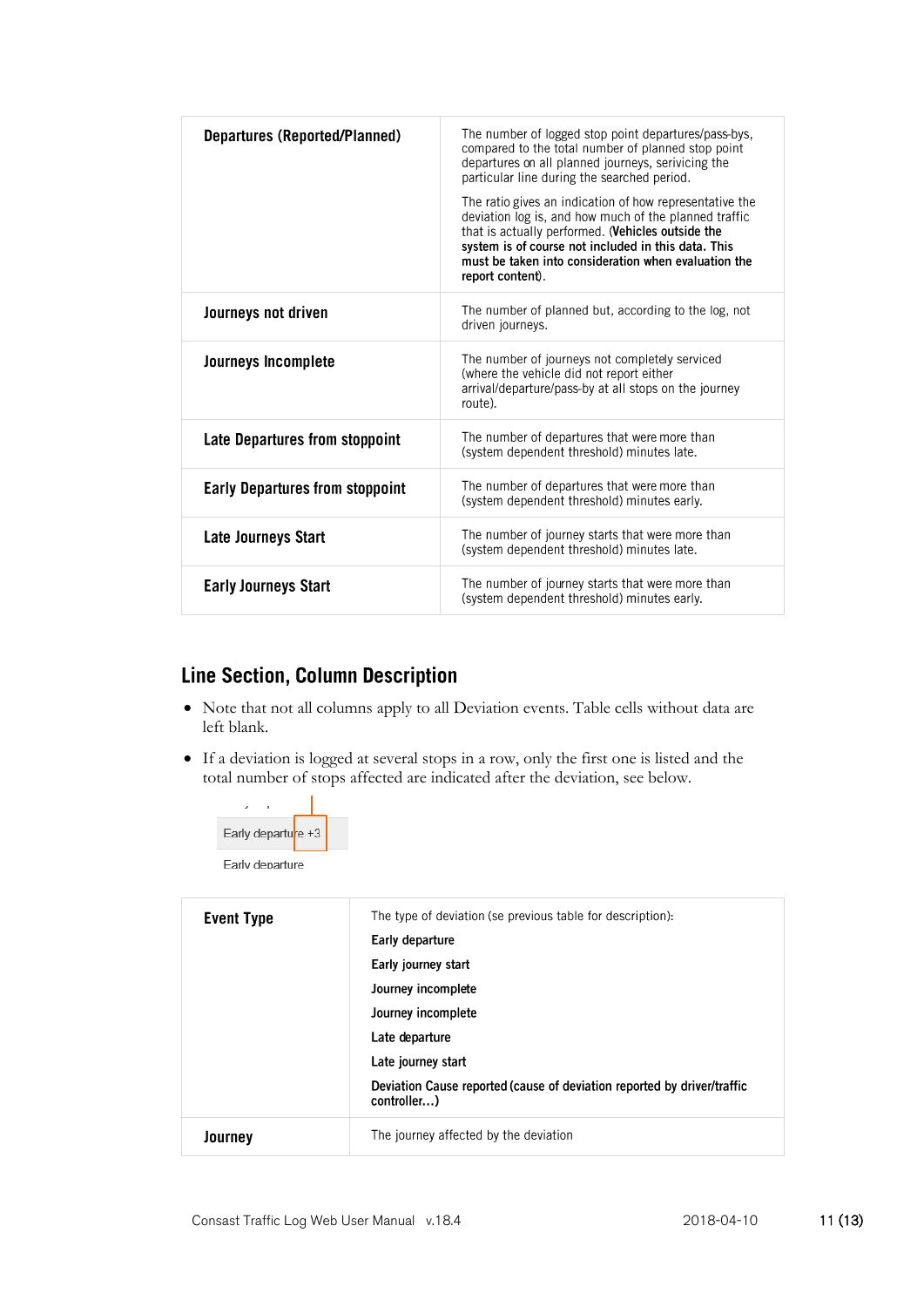| <b>Departures (Reported/Planned)</b>   | The number of logged stop point departures/pass-bys,<br>compared to the total number of planned stop point<br>departures on all planned journeys, serivicing the<br>particular line during the searched period.<br>The ratio gives an indication of how representative the<br>deviation log is, and how much of the planned traffic<br>that is actually performed. (Vehicles outside the<br>system is of course not included in this data. This<br>must be taken into consideration when evaluation the<br>report content). |
|----------------------------------------|-----------------------------------------------------------------------------------------------------------------------------------------------------------------------------------------------------------------------------------------------------------------------------------------------------------------------------------------------------------------------------------------------------------------------------------------------------------------------------------------------------------------------------|
| Journeys not driven                    | The number of planned but, according to the log, not<br>driven journeys.                                                                                                                                                                                                                                                                                                                                                                                                                                                    |
| Journeys Incomplete                    | The number of journeys not completely serviced<br>(where the vehicle did not report either<br>arrival/departure/pass-by at all stops on the journey<br>route).                                                                                                                                                                                                                                                                                                                                                              |
| Late Departures from stoppoint         | The number of departures that were more than<br>(system dependent threshold) minutes late.                                                                                                                                                                                                                                                                                                                                                                                                                                  |
| <b>Early Departures from stoppoint</b> | The number of departures that were more than<br>(system dependent threshold) minutes early.                                                                                                                                                                                                                                                                                                                                                                                                                                 |
| Late Journeys Start                    | The number of journey starts that were more than<br>(system dependent threshold) minutes late.                                                                                                                                                                                                                                                                                                                                                                                                                              |
| <b>Early Journeys Start</b>            | The number of journey starts that were more than<br>(system dependent threshold) minutes early.                                                                                                                                                                                                                                                                                                                                                                                                                             |

# Line Section, Column Description

- Note that not all columns apply to all Deviation events. Table cells without data are left blank.
- If a deviation is logged at several stops in a row, only the first one is listed and the total number of stops affected are indicated after the deviation, see below.

| Early departure +3 |  |  |
|--------------------|--|--|
| Early departure    |  |  |

| <b>Event Type</b> | The type of deviation (se previous table for description).<br>Early departure<br>Early journey start<br>Journey incomplete<br>Journey incomplete<br>Late departure<br>Late journey start<br>Deviation Cause reported (cause of deviation reported by driver/traffic<br>controller) |
|-------------------|------------------------------------------------------------------------------------------------------------------------------------------------------------------------------------------------------------------------------------------------------------------------------------|
| Journey           | The journey affected by the deviation                                                                                                                                                                                                                                              |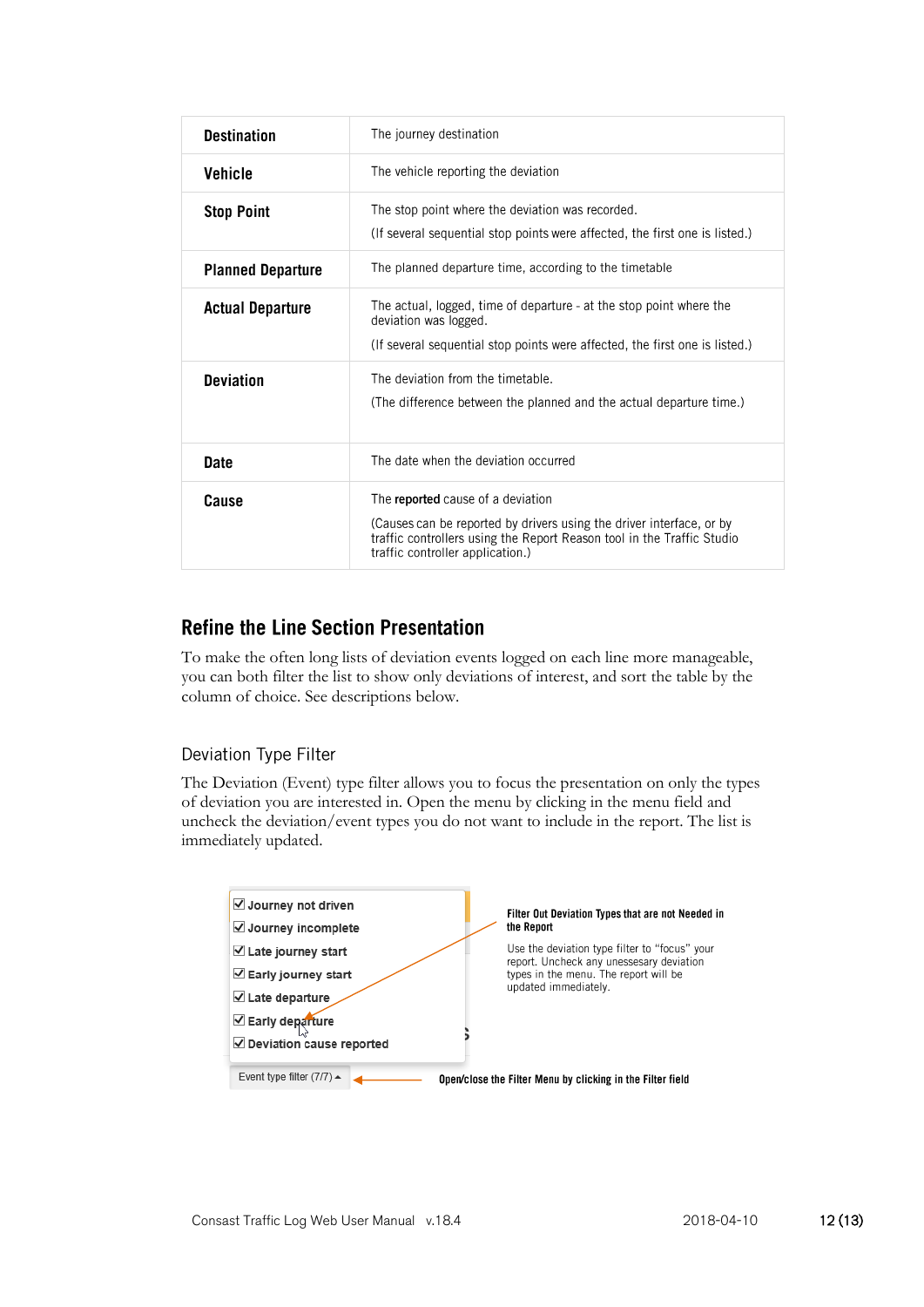| <b>Destination</b>       | The journey destination                                                                                                                                                                                                 |
|--------------------------|-------------------------------------------------------------------------------------------------------------------------------------------------------------------------------------------------------------------------|
| <b>Vehicle</b>           | The vehicle reporting the deviation                                                                                                                                                                                     |
| <b>Stop Point</b>        | The stop point where the deviation was recorded.<br>(If several sequential stop points were affected, the first one is listed.)                                                                                         |
| <b>Planned Departure</b> | The planned departure time, according to the timetable                                                                                                                                                                  |
| <b>Actual Departure</b>  | The actual, logged, time of departure - at the stop point where the<br>deviation was logged.<br>(If several sequential stop points were affected, the first one is listed.)                                             |
| <b>Deviation</b>         | The deviation from the timetable.<br>(The difference between the planned and the actual departure time.)                                                                                                                |
| <b>Date</b>              | The date when the deviation occurred                                                                                                                                                                                    |
| Cause                    | The reported cause of a deviation<br>(Causes can be reported by drivers using the driver interface, or by<br>traffic controllers using the Report Reason tool in the Traffic Studio<br>traffic controller application.) |

### **Refine the Line Section Presentation**

To make the often long lists of deviation events logged on each line more manageable, you can both filter the list to show only deviations of interest, and sort the table by the column of choice. See descriptions below.

#### Deviation Type Filter

The Deviation (Event) type filter allows you to focus the presentation on only the types of deviation you are interested in. Open the menu by clicking in the menu field and uncheck the deviation/event types you do not want to include in the report. The list is immediately updated.